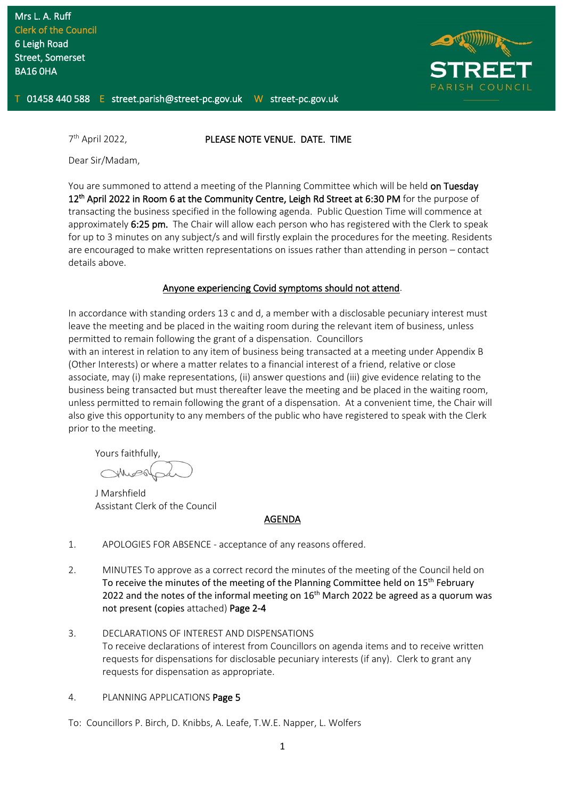

7<sup>th</sup> April 2022.

#### PLEASE NOTE VENUE. DATE. TIME

Dear Sir/Madam,

You are summoned to attend a meeting of the Planning Committee which will be held on Tuesday 12<sup>th</sup> April 2022 in Room 6 at the Community Centre, Leigh Rd Street at 6:30 PM for the purpose of transacting the business specified in the following agenda. Public Question Time will commence at approximately 6:25 pm. The Chair will allow each person who has registered with the Clerk to speak for up to 3 minutes on any subject/s and will firstly explain the procedures for the meeting. Residents are encouraged to make written representations on issues rather than attending in person – contact details above.

#### Anyone experiencing Covid symptoms should not attend.

In accordance with standing orders 13 c and d, a member with a disclosable pecuniary interest must leave the meeting and be placed in the waiting room during the relevant item of business, unless permitted to remain following the grant of a dispensation. Councillors

with an interest in relation to any item of business being transacted at a meeting under Appendix B (Other Interests) or where a matter relates to a financial interest of a friend, relative or close associate, may (i) make representations, (ii) answer questions and (iii) give evidence relating to the business being transacted but must thereafter leave the meeting and be placed in the waiting room, unless permitted to remain following the grant of a dispensation. At a convenient time, the Chair will also give this opportunity to any members of the public who have registered to speak with the Clerk prior to the meeting.

Yours faithfully,

J Marshfield Assistant Clerk of the Council

#### AGENDA

- 1. APOLOGIES FOR ABSENCE acceptance of any reasons offered.
- 2. MINUTES To approve as a correct record the minutes of the meeting of the Council held on To receive the minutes of the meeting of the Planning Committee held on 15<sup>th</sup> February 2022 and the notes of the informal meeting on  $16<sup>th</sup>$  March 2022 be agreed as a quorum was not present (copies attached) Page 2-4
- 3. DECLARATIONS OF INTEREST AND DISPENSATIONS To receive declarations of interest from Councillors on agenda items and to receive written requests for dispensations for disclosable pecuniary interests (if any). Clerk to grant any requests for dispensation as appropriate.
- 4. PLANNING APPLICATIONS Page 5

To: Councillors P. Birch, D. Knibbs, A. Leafe, T.W.E. Napper, L. Wolfers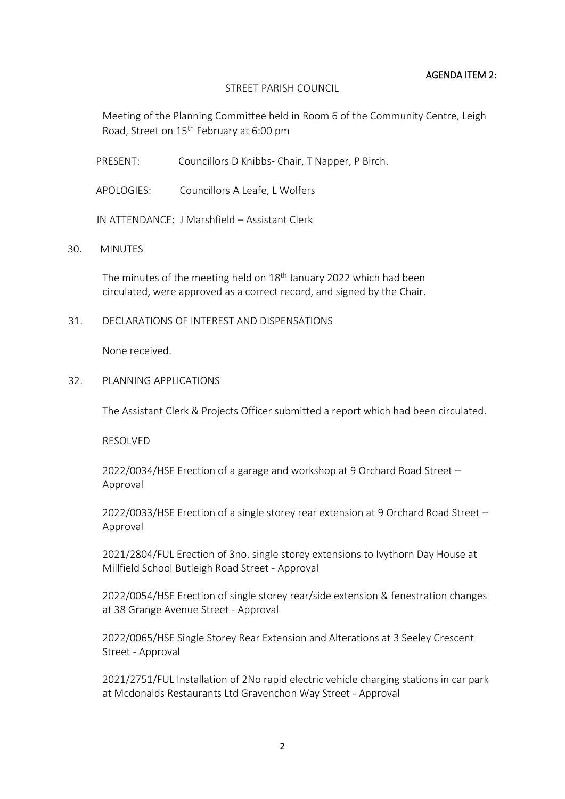### AGENDA ITEM 2:

### STREET PARISH COUNCIL

Meeting of the Planning Committee held in Room 6 of the Community Centre, Leigh Road, Street on 15th February at 6:00 pm

PRESENT: Councillors D Knibbs- Chair, T Napper, P Birch.

APOLOGIES: Councillors A Leafe, L Wolfers

IN ATTENDANCE: J Marshfield – Assistant Clerk

# 30. MINUTES

The minutes of the meeting held on  $18<sup>th</sup>$  January 2022 which had been circulated, were approved as a correct record, and signed by the Chair.

## 31. DECLARATIONS OF INTEREST AND DISPENSATIONS

None received.

32. PLANNING APPLICATIONS

The Assistant Clerk & Projects Officer submitted a report which had been circulated.

RESOLVED

2022/0034/HSE Erection of a garage and workshop at 9 Orchard Road Street – Approval

2022/0033/HSE Erection of a single storey rear extension at 9 Orchard Road Street – Approval

2021/2804/FUL Erection of 3no. single storey extensions to Ivythorn Day House at Millfield School Butleigh Road Street - Approval

2022/0054/HSE Erection of single storey rear/side extension & fenestration changes at 38 Grange Avenue Street - Approval

2022/0065/HSE Single Storey Rear Extension and Alterations at 3 Seeley Crescent Street - Approval

2021/2751/FUL Installation of 2No rapid electric vehicle charging stations in car park at Mcdonalds Restaurants Ltd Gravenchon Way Street - Approval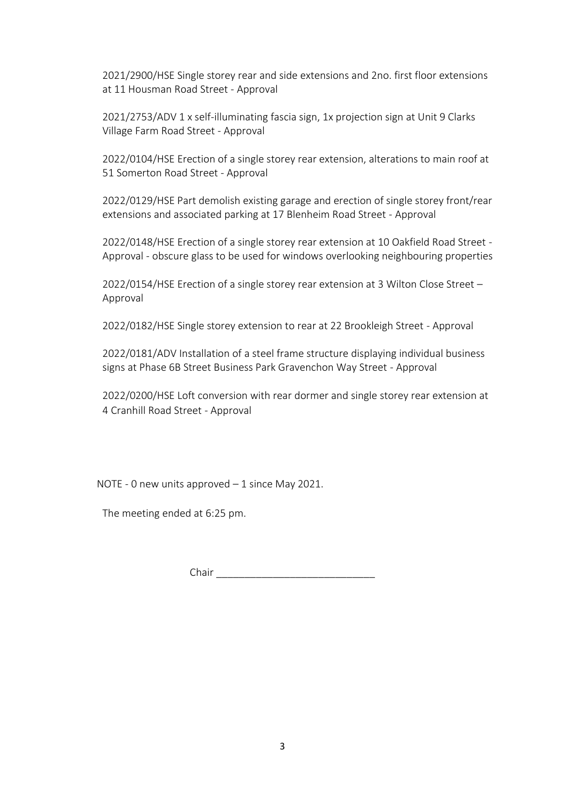2021/2900/HSE Single storey rear and side extensions and 2no. first floor extensions at 11 Housman Road Street - Approval

2021/2753/ADV 1 x self-illuminating fascia sign, 1x projection sign at Unit 9 Clarks Village Farm Road Street - Approval

2022/0104/HSE Erection of a single storey rear extension, alterations to main roof at 51 Somerton Road Street - Approval

2022/0129/HSE Part demolish existing garage and erection of single storey front/rear extensions and associated parking at 17 Blenheim Road Street - Approval

2022/0148/HSE Erection of a single storey rear extension at 10 Oakfield Road Street - Approval - obscure glass to be used for windows overlooking neighbouring properties

2022/0154/HSE Erection of a single storey rear extension at 3 Wilton Close Street – Approval

2022/0182/HSE Single storey extension to rear at 22 Brookleigh Street - Approval

2022/0181/ADV Installation of a steel frame structure displaying individual business signs at Phase 6B Street Business Park Gravenchon Way Street - Approval

2022/0200/HSE Loft conversion with rear dormer and single storey rear extension at 4 Cranhill Road Street - Approval

NOTE - 0 new units approved – 1 since May 2021.

The meeting ended at 6:25 pm.

Chair \_\_\_\_\_\_\_\_\_\_\_\_\_\_\_\_\_\_\_\_\_\_\_\_\_\_\_\_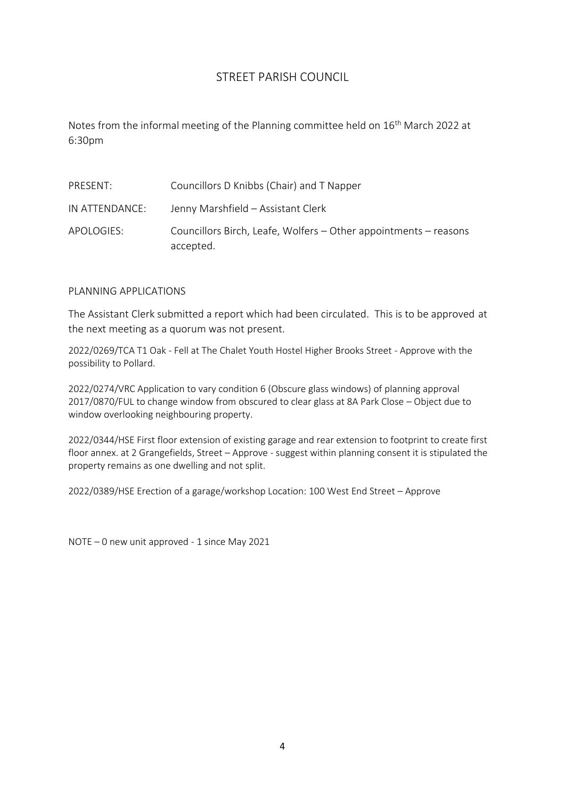# STREET PARISH COUNCIL

Notes from the informal meeting of the Planning committee held on 16<sup>th</sup> March 2022 at 6:30pm

| PRESENT:       | Councillors D Knibbs (Chair) and T Napper                                     |
|----------------|-------------------------------------------------------------------------------|
| IN ATTENDANCE: | Jenny Marshfield - Assistant Clerk                                            |
| APOLOGIES:     | Councillors Birch, Leafe, Wolfers – Other appointments – reasons<br>accepted. |

# PLANNING APPLICATIONS

The Assistant Clerk submitted a report which had been circulated. This is to be approved at the next meeting as a quorum was not present.

2022/0269/TCA T1 Oak - Fell at The Chalet Youth Hostel Higher Brooks Street - Approve with the possibility to Pollard.

2022/0274/VRC Application to vary condition 6 (Obscure glass windows) of planning approval 2017/0870/FUL to change window from obscured to clear glass at 8A Park Close – Object due to window overlooking neighbouring property.

2022/0344/HSE First floor extension of existing garage and rear extension to footprint to create first floor annex. at 2 Grangefields, Street – Approve - suggest within planning consent it is stipulated the property remains as one dwelling and not split.

2022/0389/HSE Erection of a garage/workshop Location: 100 West End Street – Approve

NOTE – 0 new unit approved - 1 since May 2021